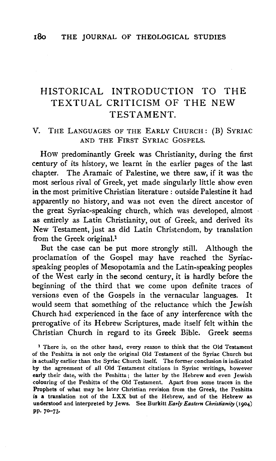# HISTORICAL INTRODUCTION TO THE TEXTUAL CRITICISM OF THE NEW TESTAMENT.

## V. THE LANGUAGES OF THE EARLY CHURCH: (B) SYRIAC AND THE FIRST SYRIAC GOSPELS.

How predominantly Greek was Christianity, during the first century of its history, we learnt in the earlier pages of the last chapter. The Aramaic of Palestine, we there saw, if it was the most serious rival of Greek, yet made singularly little show even in the most primitive Christian literature : outside Palestine it had apparently no history, and was not even the direct ancestor of the great Syriac-speaking church, which was developed, almost as entirely as Latin Christianity, out of Greek, and derived its New Testament, just as did Latin Christendom, by translation from the Greek original.1

But the case can be put more strongly still. Although the proclamation of the Gospel may have reached the Syriacspeaking peoples of Mesopotamia and the Latin-speaking peoples of the West early in the second century, it is hardly before the beginning of the third that we come upon definite traces of versions even of the Gospels in the vernacular languages. It would seem that something of the reluctance which the Jewish Church had experienced in the face of any interference with the prerogative of its Hebrew Scriptures, made itself felt within the Christian Church in regard to its Greek Bible. Greek seems

<sup>1</sup> There is, on the other hand, every reason to think that the Old Testament of the Peshitta is not only the original Old Testament of the Syriac Church but is actually earlier than the Syriac Church itself. The former conclusion is indicated by the agreement of all Old Testament citations in Syriac writings, however early their date, with the Peshitta; the latter by the Hebrew and even Jewish colouring of the Peshitta of the Old Testament. Apart from some traces in the Prophets of what may be later Christian revision from the Greek, the Peshitta is a translation not of the LXX but of the Hebrew, and of the Hebrew as understood and interpreted by Jews. See Burkitt *Early Eastern Christianity* (1904) pp. 7D-73·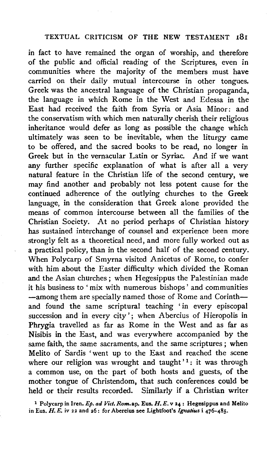#### TEXTUAL CRITICISM OF THE NEW TESTAMENT 181

in fact to have remained the organ of worship, and therefore of the public and official reading of the Scriptures, even in communities where the majority of the members must have carried on their daily mutual intercourse in other tongues. Greek was the ancestral language of the Christian propaganda, the language in which Rome in the West and Edessa in the East had received the faith from Syria or Asia Minor: and the conservatism with which men naturally cherish their religious inheritance would defer as long as possible the change which ultimately was seen to be inevitable, when the liturgy came to be offered, and the sacred books to be read, no longer in Greek but in the vernacular Latin or Syriac. And if we want any further specific explanation of what is after all a very natural feature in the Christian life of the second century, we may find another and probably not less potent cause for the continued adherence of the outlying churches to the Greek language, in the consideration that Greek alone provided the means of common intercourse between all the families of the Christian Society. At no period perhaps of Christian history has sustained interchange of counsel and experience been more strongly felt as a theoretical need, and more fully worked out as a practical policy, than in the second half of the second century. When Polycarp of Smyrna visited Anicetus of Rome, to confer with him about the Easter difficulty which divided the Roman and the Asian churches ; when Hegesippus the Palestinian made it his business to 'mix with numerous bishops' and communities -among them are specially named those of Rome and Corinthand found the same scriptural teaching 'in every episcopal succession and in every city'; when Abercius of Hieropolis in Phrygia travelled as far as Rome in the West and as far as Nisibis in the East, and was everywhere accompanied by the same faith, the same sacraments, and the same scriptures ; when Melito of Sardis 'went up to the East and reached the scene where our religion was wrought and taught'<sup>1</sup>: it was through a common use, on the part of both hosts and guests, of the mother tongue of Christendom, that such conferences could be held or their results recorded. Similarly if a Christian writer

<sup>1</sup> Polycarp in Iren. *Ep. ad Vict. Rom.* ap. Eus. *H. E.* v 24 : Hegesippus and Melito in Eus.  $H.E.$  iv 22 and 26: for Abercius see Lightfoot's *Ignatius* i 476-485.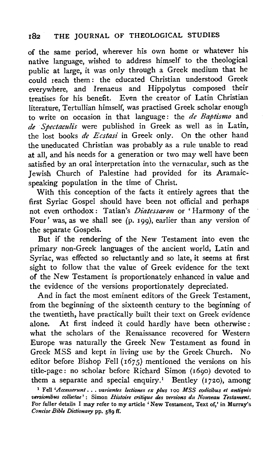of the same period, wherever his own home or whatever his native language, wished to address himself to the theological public at large, it was only through a Greek medium that he could reach them : the educated Christian understood Greek everywhere, and Irenaeus and Hippolytus composed their treatises for his benefit. Even the creator of Latin Christian literature, Tertullian himself, was practised Greek scholar enough to write on occasion in that language : the *de Baptismo* and *de* · *Spectaculis* were published in Greek as well as in Latin, the lost books *de Ecstasi* in Greek only. On the other hand the uneducated Christian was probably as a rule unable to read at all, and his needs for a generation or two may well have been satisfied by an oral interpretation into the vernacular, such as the Jewish Church of Palestine had provided for its Aramaicspeaking population in the time of Christ.

With this conception of the facts it entirely agrees that the first Syriac Gospel should have been not official and perhaps not even orthodox: Tatian's *Diatessaron* or 'Harmony of the Four' was, as we shall see (p. 199), earlier than any version of the separate Gospels.

But if the rendering of the New Testament into even the primary non-Greek languages of the ancient world, Latin and Syriac, was effected so reluctantly and so late, it seems at first sight to follow that the value of Greek evidence for the text of the New Testament is proportionately enhanced in value and the evidence of the versions proportionately depreciated.

And in fact the most eminent editors of the Greek Testament, from the beginning of the sixteenth century to the beginning of the twentieth, have practically built their text on Greek evidence alone. At first indeed it could hardly have been otherwise: what the scholars of the Renaissance recovered for Western Europe was naturally the Greek New Testament as found in Greek MSS and kept in living use by the Greek Church. No editor before Bishop Fell (1675) mentioned the versions on his title-page: no scholar before Richard Simon (169o) devoted to them a separate and special enquiry.<sup>1</sup> Bentley (1720), among <sup>1</sup> Fell *'Accesserunt ... <i>variantes lectiones ex plus* 100 *MSS codicibus et antiquis* 

versionibus collectae': Simon *Histoire critique des versions du Nouveau Testament*. For fuller details I may refer to my article 'New Testament, Text of,' in Murray's *Concise Bible Dictionary* pp. 589 ff.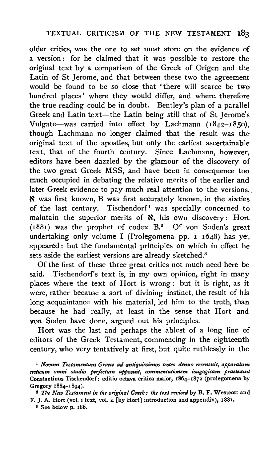### TEXTUAL CRITICISM OF THE NEW TESTAMENT  $18<sub>3</sub>$

older critics, was the one to set most store on the evidence of a version : for he claimed that it was possible to restore the original text by a comparison of the Greek of Origen and the Latin of St Jerome, and that between these two the agreement would be found to be so close that ' there will scarce be two hundred places' where they would differ, and where therefore the true reading could be in doubt. Bentley's plan of a parailel Greek and Latin text-the Latin being still that of St Jerome's Vulgate-was carried into effect by Lachmann  $(1842-1850)$ , though Lachmann no longer claimed that the result was the original text of the apostles, but only the earliest ascertainable text, that of the fourth century. Since Lachmann, however, editors have been dazzled by the glamour of the discovery of the two great Greek MSS, and have been in consequence too much occupied in debating the relative merits of the earlier and later Greek evidence to pay much real attention to the versions. N was first known, B was first accurately known, in the sixties of the last century. Tischendorf<sup>1</sup> was specially concerned to maintain the superior merits of  $\aleph$ , his own discovery: Hort (1881) was the prophet of codex B.2 Of von Soden's great undertaking only volume I (Prolegomena pp. 1-1648) has yet appeared : but the fundamental principles on which in effect he sets aside the earliest versions are already sketched.<sup>3</sup>

Of the first of these three great critics not much need here be said. Tischendorf's text is, in my own opinion, right in many places where the text of Hort is wrong: but it is right, as it were, rather because a sort of divining instinct, the result of his long acquaintance with his material, led him to the truth, than because he had really, at least in the sense that Hort and von Soden have done, argued out his principles.

Hort was the last and perhaps the ablest of a long line of editors of the Greek Testament, commencing in the eighteenth century, who very tentatively at first, but quite ruthlessly in the

<sup>1</sup> Novum Testamentum Graece ad antiquissimos testes denuo recensuit, apparatum *criticum omni studio perfectum apposuit, commentationem isagogicam praetexuit*  Constantinus Tischendorf: editio octava critica maior, 1864-1872 (prolegomena by Gregory 1884-1894).

<sup>2</sup> The New Testament in the original Greek: the text revised by B. F. Westcott and F. J. A. Hort (vol. i text, vol. ii [by Hort] introduction and appendix), 1881.

s See below p. 186.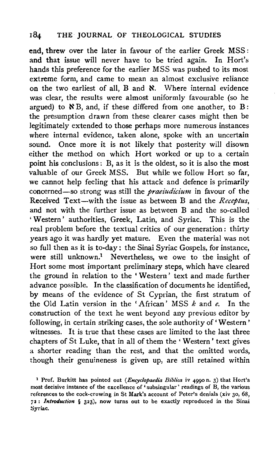end, threw over the later in favour of the earlier Greek MSS : and that issue will never have to be tried again. In Hort's hands this preference for the earlier MSS was pushed to its most extreme form, and came to mean an almost exclusive reliance on the two earliest of all,  $B$  and  $N$ . Where internal evidence was clear, the results were almost uniformly favourable (so he argued) to  $\aleph$  B, and, if these differed from one another, to B: the presumption drawn from these clearer cases might then be legitimately extended to those perhaps more numerous instances where internal evidence, taken alone, spoke with an uncertain sound. Once more it is not likely that posterity will disown either the method on which Hort worked or up to a certain point his conclusions: B, as it is the oldest, so it is also the most valuable of our Greek MSS. But while we follow Hort so far, we cannot help feeling that his attack and defence is primarily concerned-so strong was still the *praeiudicium* in favour of the Received Text-with the issue as between B and the *Receptus,*  and not with the further issue as between B and the so-called 'Western' authorities, Greek, Latin, and Syriac. This is the real problem before the textual critics of our generation : thirty years ago it was hardly yet mature. Even the material was not so full then as it is to-day : the Sinai Syriac Gospels, for instance, were still unknown.<sup>1</sup> Nevertheless, we owe to the insight of Hort some most important preliminary steps, which have cleared the ground in relation to the 'Western' text and made further advance possible. In the classification of documents he identified, by means of the evidence of St Cyprian, the first stratum of the Old Latin version in the 'African' MSS *k* and *e.* In the construction of the text he went beyond any previous editor by following, in certain striking cases, the sole authority of 'Western' witnesses. It is true that these cases are limited to the last three chapters of St Luke, that in all of them the' Western' text gives a shorter reading than the rest, and that the omitted words, though their genuineness is given up, are still retained within

<sup>1</sup> Prof. Burkitt has pointed out *(Encyclopaedia Biblica* iv 4990 n. 3) that Hort's most decisive instance of the excellence of 'subsingular' readings of B, the various references to the cock-crowing in St Mark's account of Peter's denials (xiv 30, 68, 72 : *Introduction* § 323), now turns out to be exactly reproduced in the Sinai Syriac.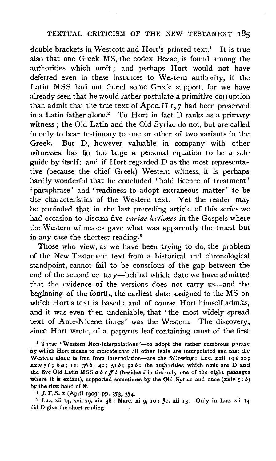# TEXTUAL CRITICISM OF THE NEW TESTAMENT 185

double brackets in Westcott and Hort's printed text.<sup>1</sup> It is true also that one Greek MS, the codex Bezae, is found among the authorities which omit ; and perhaps Hort would not have deferred even in these instances to Western authority, if the Latin MSS had not found some Greek support, for we have already seen that he would rather postulate a primitive corruption than admit that the true text of Apoc. iii I, *7* had been preserved in a Latin father alone. $2$  To Hort in fact D ranks as a primary witness ; the Old Latin and the Old Syriac do not, but are called in only to bear testimony to one or other of two variants in the Greek. But D, however valuable in company with other witnesses, has far too large a personal equation to be a safe guide by itself: and if Hort regarded D as the most representative (because the chief Greek) Western witness, it is perhaps hardly wonderful that he concluded 'bold licence of treatment' 'paraphrase' and 'readiness to adopt extraneous matter' to be the characteristics of the Western text. Yet the reader may be reminded that in the last preceding article of this series we had occasion to discuss five *variae lectiones* in the Gospels where the Western witnesses gave what was apparently the truest but in any case the shortest reading.3

Those who view, as we have been trying to do, the problem of the New Testament text from a historical and chronological standpoint, cannot fail to be conscious of the gap between the end of the second century-behind which date we have admitted that the evidence of the versions does not carry us—and the beginning of the fourth, the earliest date assigned to the MS on which Hort's text is based: and of course Hort himself admits, and it was even then undeniable, that 'the most widely spread text of Ante-Nicene times' was the Western. The discovery, since Hort wrote, of a papyrus leaf containing most of the first

<sup>1</sup> These 'Western Non-Interpolations'--to adopt the rather cumbrous phrase · by which Hort means to indicate that all other texts are interpolated and that the Western alone is free from interpolation-are the following: Luc. xxii 19b 20; xxiv  $3 b$ ;  $6 a$ ;  $12$ ;  $36 b$ ;  $40$ ;  $51 b$ ;  $52 b$ : the authorities which omit are D and the five Old Latin MSS *a b e ff l* (besides *i* in the only one of the eight passages where it is extant), supported sometimes by the Old Syriac and once (xxiv  $51 b$ ) by the first hand of  $\aleph$ .

<sup>2</sup> J. T. S. x (April 1909) pp. 373, 374-<br><sup>3</sup> Luc. xii 14, xvii 29, xix 38: Marc. xi 9, 10: Jo. xii 13. Only in Luc. xii 14 did D give the short reading.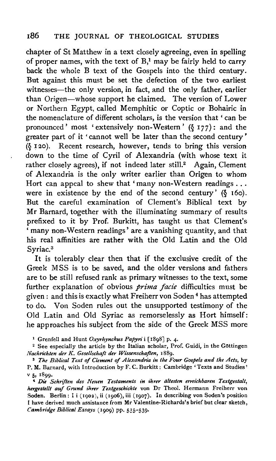chapter of St Matthew in a text closely agreeing, even in spelling of proper names, with the text of  $B<sub>i</sub><sup>1</sup>$  may be fairly held to carry back the whole B text of the Gospels into the third century. But against this must be set the defection of the two earliest witnesses—the only version, in fact, and the only father, earlier than Origen-whose support he claimed. The version of Lower or Northern Egypt, called Memphitic or Coptic or Bohairic in the nomenclature of different scholars, is the version that ' can be pronounced' most 'extensively non-Western' (§ 177): and the greater part of it 'cannot well be later than the second century' (§ 120). Recent research, however, tends to bring this version down to the time of Cyril of Alexandria (with whose text it rather closely agrees), if not indeed later still.<sup>2</sup> Again, Clement of Alexandria is the only writer earlier than Origen to whom Hort can appeal to shew that 'many non-Western readings . . . were in existence by the end of the second century'  $(6 \t{160})$ . But the careful examination of Clement's Biblical text by Mr Barnard, together with the illuminating summary of results prefixed to it by Prof. Burkitt, has taught us that Clement's 'many non-Western readings' are a vanishing quantity, and that his real affinities are rather with the Old Latin and the Old Syriac.3

It is tolerably clear then that if the exclusive credit of the Greek MSS is to be saved, and the older versions and fathers are to be still refused rank as primary witnesses to the text, some further explanation of obvious *prima facie* difficulties must be given : and this is exactly what Freiherr von Soden 4 has attempted to do. Von Soden rules out the unsupported testimony of the Old Latin and Old Syriac as remorselessly as Hort himself: he approaches his subject from the side of the Greek MSS more

<sup>1</sup> Grenfell and Hunt *Oxyrhynchus Papyri* i [1898] p. 4.<br><sup>2</sup> See especially the article by the Italian scholar, Prof. Guidi, in the Göttingen *Nachrichten der K. Gesellschaft der Wissenschaflen,* 1889.

s *The Biblical Text of Clement of Alexandria in the Four Gospels and the Acts,* by P. M. Barnard, with Introduction by F. C. Burkitt : Cambridge 'Texts and Studies' v 5, 1899.

Die Schriften des Neuen Testaments in ihrer ältesten erreichbaren Textgestalt, *hergestellt auf Grund ihrer Textgeschichte* von Dr Theol. Hermann Freiherr von Soden. Berlin: I i (1902), ii (r9o6), iii (1907). In describing von Soden's position I have derived much assistance from Mr Valentine-Richards's brief but clear sketch, *Cambridge Biblical Essays* (1909) pp. 535-539·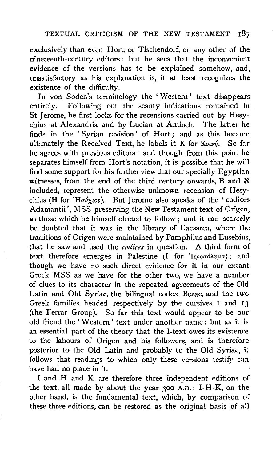exclusively than even Hort, or Tischendorf, or any other of the nineteenth-century editors: but he sees that the inconvenient evidence of the versions has to be explained somehow, and, unsatisfactory as his explanation is, it at least recognizes the existence of the difficulty.

In von Soden's terminology the 'Western' text disappears entirely. Following out the scanty indications contained in St Jerome, he first looks for the recensions carried out by Hesychius at Alexandria and by Lucian at Antioch. The latter he finds in the ' Syrian revision' of Hort ; and as this became ultimately the Received Text, he labels it K for Kourn. So far he agrees with previous editors : and though from this point he separates himself from Hort's notation, it is possible that he will find some support for his further view that our specially Egyptian witnesses, from the end of the third century onwards,  $\overline{B}$  and  $\overline{N}$ included, represent the otherwise unknown recension of Hesychius (H for 'Hov'xios). But Jerome also speaks of the 'codices Adamantii ', MSS preserving the New Testament text of Origen, as those which he himself elected to follow ; and it can scarcely be doubted that it was in the library of Caesarea, where the traditions of Origen were maintained by Pamphilus and Eusebius, that he saw and used the *codices* in question. A third form of text therefore emerges in Palestine (I for ' $I_{\epsilon\rho\rho\sigma\sigma\delta\lambda\nu\mu a}$ ); and though we have no such direct evidence for it in our extant Greek MSS as we have for the other two, we have a number of clues to its character in the repeated agreements of the Old Latin and Old Syriac, the bilingual codex Bezae, and the two Greek families headed respectively by the cursives I and 13 (the Ferrar Group). So far this text would appear to be our old friend the ' Western ' text under another name : but as it is an essential part of the theory that the 1-text owes its existence to the labours of Origen and his followers, and is therefore posterior to the Old Latin and probably to the Old Syriac, it follows that readings to which only these versions testify can have had no place in it.

I and H and K are therefore three independent editions of the text, all made by about the year 300 A.D.: 1-H-K, on the other hand, is the fundamental text, which, by comparison of these three editions, can be restored as the original basis of all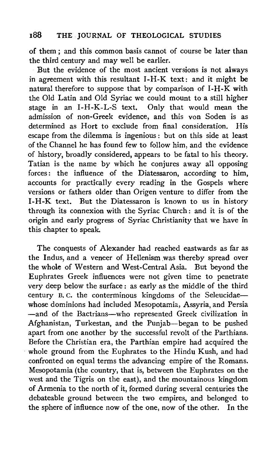of them ; and this common basis cannot of course be later than the third century and may well be earlier.

But the evidence of the most ancient versions is not always in agreement with this resultant 1-H-K text: and it might be natural therefore to suppose that by comparison of 1-H-K with the Old Latin and Old Syriac we could mount to a still higher stage in an 1-H-K-L-S text. Only that would mean the admission of non-Greek evidence, and this von Soden is as determined as Hort to exclude from final consideration. His escape from the dilemma is ingenious : but on this side at least of the Channel he has found few to follow him, and the evidence of history, broadly considered, appears to be fatal to his theory. Tatian is the name by which he conjures away all opposing forces: the influence of the Diatessaron, according to him, accounts for practically every reading in the Gospels where versions or fathers older than Origen venture to differ from the 1-H-K text. But the Diatessaron is known to us in history through its connexion with the Syriac Church: and it is of the origin and early progress of Syriac Christianity that we have in this chapter to speak.

The conquests of Alexander had reached eastwards as far as the Indus, and a veneer of Hellenism was thereby spread over the whole of Western and West-Central Asia. But beyond the Euphrates Greek influences were not given time to penetrate very deep below the surface : as early as the middle of the third century B.C. the conterminous kingdoms of the Seleucidaewhose dominions had included Mesopotamia, Assyria, and Persia -and of the Bactrians-who represented Greek civilization in Afghanistan, Turkestan, and the Punjab-began to be pushed apart from one another by the successful revolt of the Parthians. Before the Christian era, the Parthian empire had acquired the whole ground from the Euphrates to the Hindu Kush, and had confronted on equal terms the advancing empire of the Romans. Mesopotamia (the country, that is, between the Euphrates on the west and the Tigris on the east), and the mountainous kingdom of Armenia to the north of it, formed during several centuries the debateable ground between the two empires, and belonged to the sphere of influence now of the one, now of the other. In the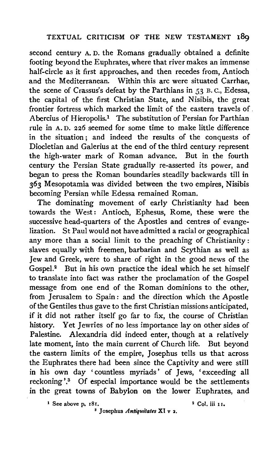second century A. D. the Romans gradually obtained a definite footing beyond the Euphrates, where that river makes an immense half-circle as it first approaches, and then recedes from, Antioch and the Mediterranean. Within this arc were situated Carrhae, the scene of Crassus's defeat by the Parthians in *53* B. c., Edessa, the capital of the first Christian State, and Nisibis, the great frontier fortress which marked the limit of the eastern travels of . Abercius of Hieropolis.1 The substitution of Persian for Parthian rule in A. D. 226 seemed for some time to make little difference in the situation ; and indeed the results of the conquests of Diocletian and Galerius at the end of the third century represent the high-water mark of Roman advance. But in the fourth century the Persian State gradually re-asserted its power, and began to press the Roman boundaries steadily backwards till in 363 Mesopotamia was divided between the two empires, Nisibis becoming Persian while Edessa remained Roman.

The dominating movement of early Christianity had been towards the West: Antioch, Ephesus, Rome, these were the successive head-quarters of the Apostles and centres of evangelization. St Paul would not have admitted a racial or geographical any more than a social limit to the preaching of Christianity : slaves equally with freemen, barbarian and Scythian as well as Jew and Greek, were to share of right in the good news of the Gospel.<sup>2</sup> But in his own practice the ideal which he set himself to translate into fact was rather the proclamation of the Gospel message from one end of the Roman dominions to the other, from Jerusalem to Spain: and the direction which the Apostle of the Gentiles thus gave to the first Christian missions anticipated, if it did not rather itself go far to fix, the course of Christian history. Yet Jewries of no less importance lay on other sides of Palestine. Alexandria did indeed enter, though at a relatively late moment, into the main current of Church life. But beyond the eastern limits of the empire, Josephus tells us that across the Euphrates there had been since the Captivity and were still in his own day 'countless myriads' of Jews, 'exceeding all reckoning '.3 Of especial importance would be the settlements in the great towns of Babylon on the lower Euphrates, and

 $1$  See above p.  $181$ .  $2$  Col. iii 11.

<sup>3</sup> Josephus *Antiquitates* XI v 2.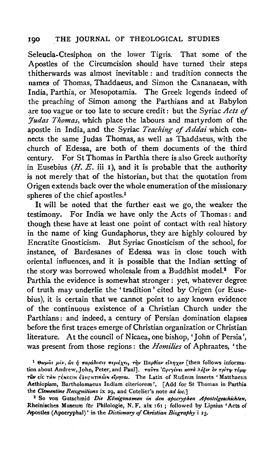Seleucia-Ctesiphon on the lower Tigris. That some of the Apostles of the Circumcision should have turned their steps thitherwards was almost inevitable : and tradition connects the names of Thomas, Thaddaeus, and Simon the Cananaean, with India, Parthia, or Mesopotamia. The Greek legends indeed of the preaching of Simon among the Parthians and at Babylon are too vague or too late to secure credit: but the Syriac *Acts of :Judas Thomas,* which place the labours and martyrdom of the apostle in India, and the Syriac *Teaching of Addai* which connects the same Judas Thomas, as well as Thaddaeus, with the church of Edessa, are both of them documents of the third century. For St Thomas in Parthia there is also Greek authority in Eusebius  $(H, E, \text{iii})$ , and it is probable that the authority is not merely that of the historian, but that the quotation from Origen extends back over the whole enumeration of the missionary spheres of the chief apostles.<sup>1</sup>

It will be noted that the further east we go, the weaker the testimony. For India we have only the Acts of Thomas: and though these have at least one point of contact with real history in the name of king Gundaphorus, they are highly coloured by Encratite Gnosticism. But Syriac Gnosticism of the school, for instance, of Bardesanes of Edessa was in close touch with oriental influences, and it is possible that the Indian setting of the story was borrowed wholesale from a Buddhist model.<sup>2</sup> For Parthia the evidence is somewhat stronger : yet, whatever degree of truth may underlie the' tradition' cited by Origen (or Eusebius), it is certain that we cannot point to any known evidence of the continuous existence of a Christian Church under the Parthians: and indeed, a century of Persian domination elapses before the first traces emerge of Christian organization or Christian literature. At the council of Nicaea, one bishop, 'John of Persia', was present from those regions: the *Homilies* of Aphraates, 'the

<sup>1</sup> θωμας μέν, ώς ή παράδοσις περιέχει, την Παρθίαν είληχεν [then follows information about Andrew, John, Peter, and Paul]. Tavra 'Ωριγένει κατά λέξιν έν τρίτφ τόμφ Tων είς τΗΝ ΓέΝΕCIN έΣΗΓΗΤΙΚώΝ είρηται. The Latin of Rufinus inserts 'Matthaeus Aethiopiam, Bartholomaeus lndiam citeriorem '. [Add for St Thomas in Parthia the *Clementine Recognitions* ix 29, and Cotelier's note *ad loc.*]

2 So von Gutschmid *Die Konigsnamen in den apocryphen Apostelgeschichten,*  Rheinisches Museum für Philologie, N. F. xix 161; followed by Lipsius 'Acts of Apostles (Apocryphal)' in the *Dictionary of Christian Biography* i 23.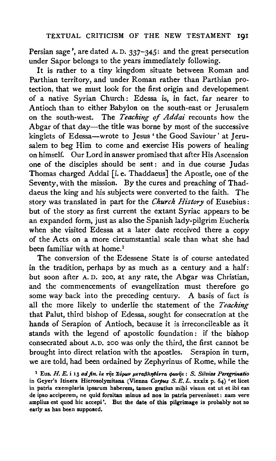Persian sage', are dated A. D. *337-345:* and the great persecution under Sapor belongs to the years immediately following.

It is rather to a tiny kingdom situate between Roman and Parthian territory, and under Roman rather than Parthian protection, that we must look for the first origin and developement of a native Syrian Church: Edessa is, in fact, far nearer to Antioch than to either Babylon on the south-east or Jerusalem on the south-west. The *Teaching of Addai* recounts how the Abgar of that day—the title was borne by most of the successive kinglets of Edessa-wrote to Jesus' the Good Saviour' at Jerusalem to beg Him to come and exercise His powers of healing on himself. Our Lord in answer promised that after His Ascension one of the disciples should be sent: and in due course Judas Thomas charged Addai [i.e. Thaddaeus] the Apostle, one of the Seventy, with the mission. By the cures and preaching of Thaddaeus the king and his subjects were converted to the faith. The story was translated in part for the *Church History* of Eusebius: but of the story as first current the extant Syriac appears to be an expanded form, just as also the Spanish lady-pilgrim Eucheria when she visited Edessa at a later date received there a copy of the Acts on a more circumstantial scale than what she had been familiar with at home.<sup>1</sup>

The conversion of the Edessene State is of course antedated in the tradition, perhaps by as much as a century and a half: but soon after A. D. 200, at any rate, the Abgar was Christian, and the commencements of evangelization must therefore go some way back into the preceding century. A basis of fact is all the more likely to underlie the statement of the *Teaching*  that Palut, third bishop of Edessa, sought for consecration at the hands of Serapion of Antioch, because it is irreconcileable as it stands with the legend of apostolic foundation : if the bishop consecrated about A.D. 200 was only the third, the first cannot be brought into direct relation with the apostles. Serapion in turn, we are told, had been ordained by Zephyrinus of Rome, while the

<sup>1</sup> Eus. *H. E.* i 13 *ad fin. εκ της Σύρων μεταβληθέντα φωνης* : *S. Silviae Peregrinatio* in Geyer's Itinera Hierosolymitana (Vienna *Corpus S. E. L.* xxxix p. 64) 'et licet in patria exemplaria ipsarum haberem, tamen gratius mihi visum est ut et ibi eas de ipso acciperem, ne quid forsitan minus ad nos in patria pervenisset: nam vere amplius est quod hic accepi'. But the date of this pilgrimage is probably not so early as has been supposed.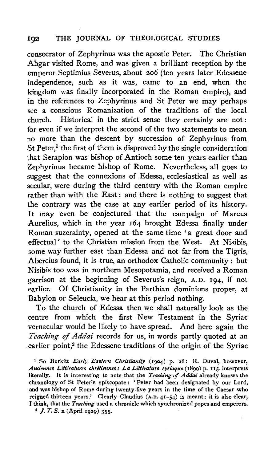consecrator of Zephyrinus was the apostle Peter. The Christian Abgar visited Rome, and was given a brilliant reception by the emperor Septimius Severus, about zo6 (ten years later Edessene independence, such as it was, came to an end, when the kingdom was finally incorporated in the Roman empire), and in the references to Zephyrinus and St Peter we may perhaps see a conscious Romanization of the traditions of the local church. Historical in the strict sense they certainly are not : for even if we interpret the second of the two statements to mean no more than the descent by succession of Zephyrinus from St Peter, $<sup>1</sup>$  the first of them is disproved by the single consideration</sup> that Serapion was bishop of Antioch some ten years earlier than Zephyrinus became bishop of Rome. Nevertheless, all goes to suggest that the connexions of Edessa, ecclesiastical as well as secular, were during the third century with the Roman empire rather than with the East: and there is nothing to suggest that the contrary was the case at any earlier period of its history. It may even be conjectured that the campaign of Marcus Aurelius, which in the year 164 brought Edessa finally under Roman suzerainty, opened at the same time 'a great door and effectual' to the Christian mission from the West. At Nisibis, some way further east than Edessa and not far from the Tigris, Abercius found, it is true, an orthodox Catholic community: but Nisibis too was in northern Mesopotamia, and received a Roman garrison at the beginning of Severus's reign, A.D. 194, if not earlier. Of Christianity in the Parthian dominions proper, at Babylon or Seleucia, we hear at this period nothing.

To the church of Edessa then we shall naturally look as the centre from which the first New Testament in the Syriac vernacular would be likely to have spread. And here again the *Teaching of Addai* records for us, in words partly quoted at an earlier point,<sup>2</sup> the Edessene traditions of the origin of the Syriac

1 So Burkitt *Early Eastern Christianity* (1904) p. 26: R. Duval, however, Anciennes Littératures chrétiennes: La Littérature syriaque (1899) p. 115, interprets literally. It is interesting to note that the *Teaching of Addai* already knows the chronology of St Peter's episcopate : 'Peter had been designated by our Lord, and was bishop of Rome during twenty-five years in the time of the Caesar who reigned thirteen years.' Clearly Claudius  $(A.D. 4I-54)$  is meant: it is also clear, I think, that the *Teaching* used a chronicle which synchronized popes and emperors.

 $\frac{1}{2}$  *J. T. S. x* (April 1909) 355.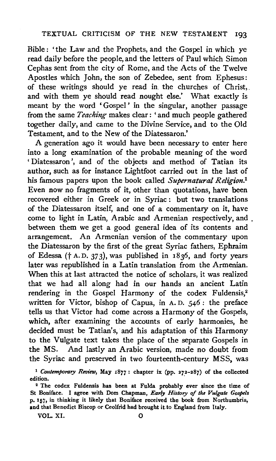Bible: 'the Law and the Prophets, and the Gospel in which ye read daily before the people, and the letters of Paul which Simon Cephas sent from the city of Rome, and the Acts of the Twelve Apostles which John, the son of Zebedee, sent from Ephesus: of these writings should ye read in. the churches of Christ,. and with them ye should read nought else.' What exactly is meant by the word 'Gospel' in the singular, another passage from the same *Teaching* makes clear : ' and much people gathered together daily, and came to the Divine Service, and to the Old Testament, and to the New of the Diatessaron.'

A generation ago it would have been necessary to enter here into a long examination of the probable meaning of the word ' Diatessaron ', and of the objects and method of Tatian its author, such as for instance Lightfoot carried out in the last of his famous papers upon the book called *Supernatural Religion.*<sup>1</sup> Even now no fragments of it, other than quotations, have been recovered either in Greek or in Syriac : but two translations of the Diatessaron itself, and one of a commentary on it, have come to light in Latin, Arabic and Armenian respectively, and . between them we get a good general idea of its contents and arrangement. An Armenian version of the commentary upon the Diatessaron by the first of the great Syriac fathers, Ephraim of Edessa († A. D. 373), was published in  $1836$ , and forty years later was republished in a Latin translation from the Armenian. When this at last attracted the notice of scholars, it was realized that we had all along had in our hands an ancient Latin rendering in the Gospel Harmony of the codex Fuldensis,<sup>2</sup> written for Victor, bishop of Capua, in A. D. *546* : the preface tells us that Victor had come across a Harmony of the Gospels, which, after examining the accounts of early harmonies, he decided must be Tatian's, and his adaptation of this Harmony to the Vulgate text takes the place of the separate Gospels in the MS. And lastly an Arabic version, made no doubt from the Syriac and preserved in two fourteenth-century MSS, was

VOL. XI. 0

<sup>1</sup>*Contemporary Review,* May 1877: chapter ix (pp. 272-287) of the collected edition.<br><sup>2</sup> The codex Fuldensis has been at Fulda probably ever since the time of

St Boniface. I agree with Dom Cbapman, *Early History of the Vu/gate Gospels*  p. 157, in thinking it likely that Boniface received the book from Northumbria, and that Benedict Biscop or Ceolfrid had brought it.to England from Italy.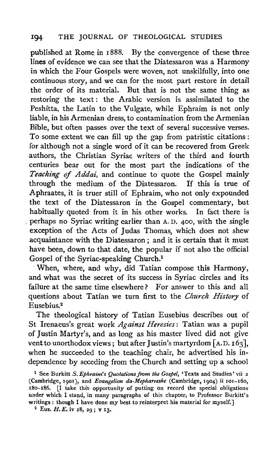published at Rome in 1888. By the convergence of these three lines of evidence we can see that the Diatessaron was a Harmony in which the Four Gospels were woven, not unskilfully, into one continuous story, and we can for the most part restore in detail the order of its material. But that is not the same thing as restoring the text : the Arabic version is assimilated to the Peshitta, the Latin to the Vulgate, while Ephraim is not only liable, in his Armenian dress, to contamination from the Armenian Bible, but often passes over the text of several successive verses. To some extent we can fill up the gap from patristic citations: for although not a single word of it can be recovered from Greek authors, the Christian Syriac writers of the third and fourth centuries bear out for the most part the indications of the *Teaching of Addai,* and continue to quote the Gospel mainly through the medium of the Diatessaron. If this is true of Aphraates, it is truer still of Ephraim, who not only expounded the text of the Diatessaron in the Gospel commentary, but habitually quoted from it in his other works. In fact there is . perhaps no Syriac writing earlier than A. D. 400, with the single exception of the Acts of Judas Thomas, which does not shew acquaintance with the Diatessaron; and it is certain that it must have been, down to that date, the popular if not also the official Gospel of the Syriac-speaking Church.<sup>1</sup>

·When, where, and why, did Tatian compose this Harmony, and what was the secret of its success in Syriac circles and its failure at the same time elsewhere? For answer to this and all questions about Tatian we turn first to the *Churclt History* of Eusebius.2

The theological history of Tatian Eusebius describes out of St Irenaeus's great work *Against Heresies:* Tatian was a pupil of Justin Mattyr's, and as long as his master lived did not give vent to unorthodox views; but after Justin's martyrdom [A.D. 163], when he succeeded to the teaching chair, he advertised his independence by seceding from the Church and setting up a school

1 See Burkitt *S. Ephraim's Quotations from the Gospel,* 'Texts and Studies' vii 2 (Cambridge, 1901), and *Evangelion da-Mepharreshe* (Cambridge, 1904) ii 101-16o, xSo-186. [I take this opportunity of putting on record the special obligations under which I stand, in many paragraphs of this chapter, to Professor Burkitt's writings : though I have done my best to reinterpret his material for myself.] <sup>2</sup> Eus. H. E. iv 28, 29; v 13.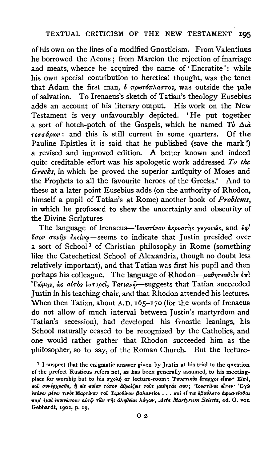of his own on the lines of a modified Gnosticism. From Valentinus he borrowed the Aeons ; from Marcion the rejection of marriage and meats, whence he acquired the name of 'Encratite': while his own special contribution to heretical thought, was the tenet that Adam the first man, δ πρωτόπλαστος, was outside the pale of salvation. To Irenaeus's sketch of Tatian's theology Eusebius adds an account of his literary output. His work on the New Testament is very unfavourably depicted. 'He put together a sort of hotch-potch of the Gospels, which he named Tò  $\Delta u$  $\tau \epsilon \sigma \sigma \phi \omega$ : and this is still current in some quarters. Of the Pauline Epistles it is said that he published (save the mark!) a revised and improved edition. A better known and indeed quite creditable effort was his apologetic work addressed *To the Greeks,* in which he proved the superior antiquity of Moses and the Prophets to all the favourite heroes of the Greeks.' And to these at a later point Eusebius adds (on the authority of Rhodon, himself a pupil of Tatian's at Rome) another book of *Problems,*  in which he professed to shew the uncertainty and obscurity of the Divine Scriptures.

The language of Irenaeus-'Iovστίνου ακροατής γεγονώς, and εφ' δσον συνήν εκείνω-seems to indicate that Justin presided over a sort of School<sup>1</sup> of Christian philosophy in Rome (something like the Catechetical School of Alexandria, though no doubt less relatively important), and that Tatian was first his pupil and then perhaps his colleague. The language of Rhodon- $\mu$ a $\theta$ ητευθείs έπι <sup>'</sup>Pώμης, ωs αύτος ίστορεί, Taτιανώ-suggests that Tatian succeeded Justin in his teaching chair, and that Rhodon attended his lectures. When then Tatian, about A.D.  $165-170$  (for the words of Irenaeus do not allow of much interval between Justin's martyrdom and Tatian's secession), had developed his Gnostic leanings, his School naturally ceased to be recognized by the Catholics, and one would rather gather that Rhodon succeeded him as the philosopher, so to say, of the Roman Church. But the lecture-

<sup>&</sup>lt;sup>1</sup> I suspect that the enigmatic answer given by Justin at his trial to the question of the prefect Rusticus refers not, as has been generally assumed, to his meetingplace for worship but to his σχολή or lecture-room: 'Ρουστικόs έπαρχοs εἶπεν' Elπέ, *πού συνέρχεσθε, ή είs ποίον τόπον άθροίζεις τούς μαθητάς σου; 'Ιουστίνος είπεν' 'Εγώ*  $i$ πάνω μένω τινόs Μαρτίνου του Τιμοθίνου βαλανείου . . . και εί τιs εβούλετο αφικνείσθαι *1Tap'* Epot *EI<OIVWVOVV* avT~ *TWV* Tf)s dli.1J9Eias 11.6-ya~v, *Acta Martyrum Selecta,* ed. 0. von Gebhardt, 1902, p. 19.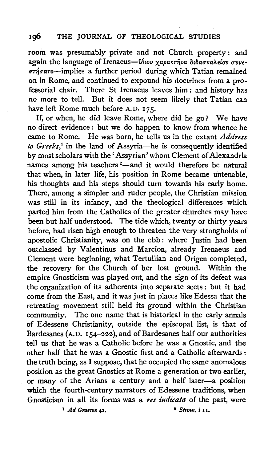room was presumably private and not Church property : and again the language of Irenaeus- $i\delta\omega$  xapakr $\hat{\eta}$ pa  $\delta\iota\delta\alpha$ oka $\lambda\epsilon\iota\delta\upsilon$  ovve- $\sigma r \gamma \sigma a r \sigma$ -implies a further period during which Tatian remained on in Rome, and continued to expound his doctrines from a professorial chair; There St Irenaeus leaves him: and history has no more to tell. But it does not seem likely that Tatian can have left Rome much before A.D. 175.

If, or when, he did leave Rome, where did he go? We have no direct evidence : but we do happen to know from whence he came to Rome. He was born, he tells us in the extant *Address*  to Greeks,<sup>1</sup> in the land of Assyria-he is consequently identified by most scholars with the' Assyrian' whom Clement of Alexandria names among his teachers<sup>2</sup>-and it would therefore be natural that when, in later life, his position in Rome became untenable, his thoughts and his steps should turn towards his early home. There, among a simpler and ruder people, the Christian mission was still in its infancy, and the theological differences which parted him from the Catholics of the greater churches may have been but half understood. The tide which, twenty or thirty years before, had risen high enough to threaten the very strongholds of apostolic Christianity, was on the ebb: where Justin had been outclassed by Valentinus and Marcion, already lrenaeus and Clement were beginning, what Tertullian and Origen completed, the recovery for the Church of her lost ground. Within the empire Gnosticism was played out, and the sign of its defeat was the organization of its adherents into separate sects : but it had come from the East, and it was just in places like Edessa that the retreating movement still held its ground within the Christian community. The one name that is historical in the early annals of Edessene Christianity, outside the episcopal list, is that of Bardesanes (A.D. 154-222), and of Bardesanes half our authorities tell us that he was a Catholic before he was a Gnostic, and the other half that he was a Gnostic first and a Catholic afterwards : the truth being, as I suppose, that he occupied the same anomalous position as the great Gnostics at Rome a generation or two earlier, or many of the Arians a century and a half later-a position which the fourth-century narrators of Edessene traditions, when Gnosticism in all its forms was a *res indicata* of the past, were

<sup>1</sup>*Ad Gnucos 43.* I *Strom.* i u.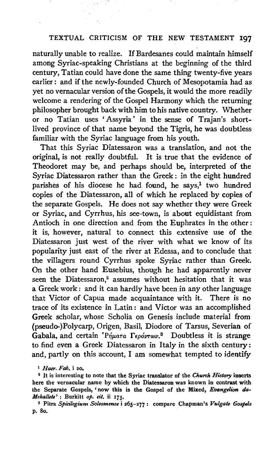### TEXTUAL CRITICISM OF THE NEW TESTAMENT 197

naturally unable to realize. If Bardesanes could maintain himself among Syriac-speaking Christians at the begipning of the third century, Tatian could have done the same thing twenty-five years earlier: and if the newly-founded Church of Mesopotamia had as yet no vernacular version of the Gospels, it would the more readily welcome a rendering of the Gospel Harmony which the returning philosopher brought back with him to his native country. Whether or no Tatian uses 'Assyria' in the sense of Trajan's shortlived province of that name beyond the Tigris, he was doubtless familiar with the Syriac language from his youth.

That this Syriac Diatessaron was a translation, and not the original, is not really doubtful. It is true that the evidence of Theodoret may be, and perhaps should be, interpreted of the Syriac Diatessaron rather than the Greek : in the eight hundred parishes of his diocese he had found, he says, $<sup>1</sup>$  two hundred</sup> copies of the Diatessaron, all of which he replaced by copies of the separate Gospels. He does not say whether they were Greek or Syriac, and Cyrrhus, his see-town, is about equidistant from Antioch in one direction and from the Euphrates in the other: it is, however, natural to connect this extensive use of the Diatessaron just west of the river with what we know of its popularity just east of the river at Edessa, and to conclude that the villagers round Cyrrhus spoke Syriac rather than Greek. On the other hand Eusebius, though he had apparently never seen the Diatessaron,<sup>2</sup> assumes without hesitation that it was a Greek work: and it can hardly have been in any other language that Victor of Capua made acquaintance with it. There is no trace of its existence in Latin : and Victor was an accomplished Greek scholar, whose Scholia on Genesis include material from {pseudo-)Polycarp, Origen, Basil, Diodore of Tarsus, Severian of Gabala, and certain *'Pήματα Γερόντων*.<sup>3</sup> Doubtless it is strange to find even a Greek Diatessaron in Italy in the sixth century: and, partly on this account, I am somewhat tempted to identify

s Pitra *Spicilegium Solesmense* i 265-277: compare Chapman's *Vu/gate Gospels*  p. So.

<sup>1</sup>*Haer. Fab.* i 20.

<sup>2</sup>It is interesting to note that the Syriac translator of the *Church History* inserts here the vernacular name by which the Diatessaron was known in contrast with the Separate Gospels, ' now this is the Gospel of the Mixed, *Evangelion da-Mehallete'* : Burkitt *op. cit.* ii I75·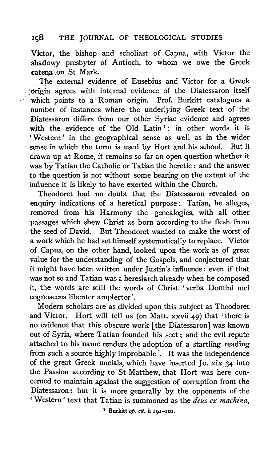Victor, the bishop and scholiast of Capua, with Victor the shadowy presbyter of Antioch, to whom we owe the Greek catena on St Mark.

The external evidence of Eusebius and Victor for a Greek 'origin agrees with internal evidence of the Diatessaron itself which points to a Roman origin. Prof. Burkitt catalogues a number of instances where the underlying Greek text of the Diatessaron differs from our other Syriac evidence and agrees with the evidence of the Old Latin<sup>1</sup>: in other words it is 'Western' in the geographical sense as well as in the wider sense in which the term is used by Hort and his school. But it drawn up at Rome, it remains so far an open question whether it was by Tatian the Catholic or Tatian the heretic: and the answer to the question is not without some bearing on the extent of the influence it is likely to have exerted within the Church.

Theodoret had no doubt that the Diatessaron revealed on enquiry indications of a heretical purpose : Tatian, he alleges, removed from his Harmony the genealogies, with all other passages which shew Christ as born according to the flesh from the seed of David. But Theodoret wanted to make the worst of a work which he had set himself systematically to replace. Victor of Capua, on the other hand, looked upon the work as of great value for the understanding of the Gospels, and conjectured that it might have been written under Justin's influence: even if that was not so and Tatian was a heresiarch already when he composed it, the words are still the words of Christ, 'verba Domini mei cognoscens libenter amplector'.

Modern scholars are as divided upon this subject as Theodoret and Victor. Hort will tell us (on Matt. xxvii 49) that 'there is no evidence that this obscure work [the Diatessaron] was known out of Syria, where Tatian founded his sect ; and the evil repute attached to his name renders the adoption of a startling reading from such a source highly improbable'. It was the independence of the great Greek uncials, which have inserted Jo. xix 34 into the Passion according to St Matthew, that Hort was here concerned to maintain against the suggestion of corruption from the Diatessaron: but it is more generally by the opponents of the 'Western' text that Tatian is summoned as the *deus ex machina*,

1 Burkitt *op. cit.* ii 191-201.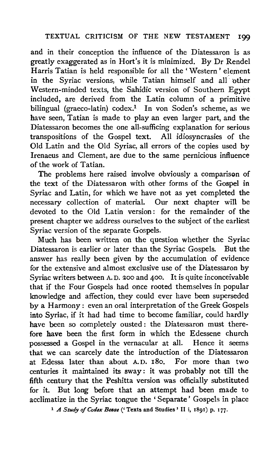and in their conception the influence of the Diatessaron is as greatly exaggerated as in Hort's it is minimized. By Dr Rendel Harris Tatian is held responsible for all the 'Western' element in the Syriac versions, while Tatian himself and all other Western-minded texts, the Sahidic version of Southern Egypt included, are derived from the Latin column of a primitive bilingual (graeco-latin) codex.<sup>1</sup> In von Soden's scheme, as we have seen, Tatian is made to play an even larger part, and the Diatessaron becomes the one all-sufficing explanation for serious transpositions of the Gospel text. All idiosyncrasies of the Old Latin and the Old Syriac, all errors of the copies used by Irenaeus and Clement, are due to the same pernicious influence of the work of Tatian.

The problems here raised involve obviously a comparison of the text of the Diatessaron with other forms of the Gospel in Syriac and Latin, for which we have not as yet completed the necessary collection of material. Our next chapter will be devoted to the Old Latin version: for the remainder of the present chapter we address ourselves to the subject of the earliest Syriac version of the separate Gospels.

Much has been written on the question whether the Syriac Diatessaron is earlier or later than the Syriac Gospels. But the answer has really been given by the accumulation of evidence for the extensive and almost exclusive use of the Diatessaron by Syriac writers between A. D. *zoo* and 400. It is quite inconceivable that if the Four Gospels had once rooted themselves in popular knowledge and affection, they could ever have been superseded by a Harmony : even an oral interpretation of the Greek Gospels into Syriac, if it had had time to become familiar, could hardly have been so completely ousted: the Diatessaron must therefore have been the first form in which the Edessene church possessed a Gospel in the vernacular at all. Hence it seems that we can scarcely date the introduction of the Diatessaron at Edessa later than about A.D. 180. For more than two centuries it maintained its sway: it was probably not till the fifth century that the Peshitta version was officially substituted for it. But long before that an attempt had been made to acclimatize in the Syriac tongue the ' Separate' Gospels in place

1 *A Study of Codex Besae* ('Texts and Studies' II i, 1891) p. 177.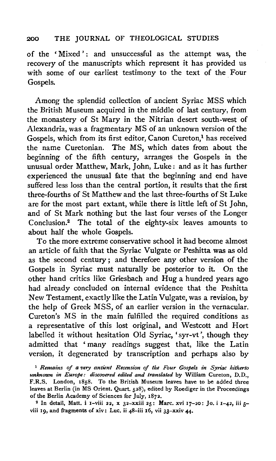of the 'Mixed': and unsuccessful as the attempt was, the recovery of the manuscripts which represent it has provided us with some of our earliest testimony to the text of the Four Gospels.

Among the splendid collection of ancient Syriac MSS which the British Museum acquired in the middle of last century, from the monastery of St Mary in the Nitrian desert south-west of Alexandria, was a fragmentary MS of an unknown version of the Gospels, which from its first editor, Canon Cureton,<sup>1</sup> has received the name Curetonian. The MS, which dates from about the beginning of the fifth century, arranges the Gospels in the unusual order Matthew, Mark, John, Luke: and as it has further experienced the unusual fate that the beginning and end have suffered less loss than the central portion, it results that the first three-fourths of St Matthew and the last three-fourths of St Luke are for the most part extant, while there is little left of St *1* ohn, and of St Mark nothing but the last four verses of the Longer Conclusion.2 The total of the eighty-six leaves amounts to about half the whole Gospels.

To the more extreme conservative school it had become almost an article of faith that the Syriac Vulgate or Peshitta was as old as the second century ; and therefore any other version of the Gospels in Syriac must naturally be posterior to it. On the other hand critics like Griesbach and Hug a hundred years ago had already concluded on internal evidence that the Peshitta New Testament, exactly like the Latin Vulgate, was a revision, by the help of Greek MSS, of an earlier version in the vernacular. Cureton's MS in the main fulfilled the required conditions as a representative of this lost original, and Westcott and Hort labelled it without hesitation Old Syriac, 'syr-vt ', though they admitted that ' many readings suggest that, like the Latin version, it degenerated by transcription and perhaps also by

<sup>1</sup> Remains of a very antient Recension of the Four Gospels in Syriac hitherto *unknown in Europe: discovered edited and translated* by William Cureton, D.D., F.R.S. London, 1858. To the British Museum leaves have to be added three leaves at Berlin (in MS Orient. Quart. 528), edited by Roediger in the Proceedings of the Berlin Academy of Sciences for July, 1872.<br><sup>2</sup> In detail, Matt. i 1-viii 22, x 32-xxiii 25: Marc. xvi 17-20: Jo. i 1-42, iii 5-

viii 19, and fragments of xiv: Luc. ii  $48$ -iii 16, vii 33-xxiv 44.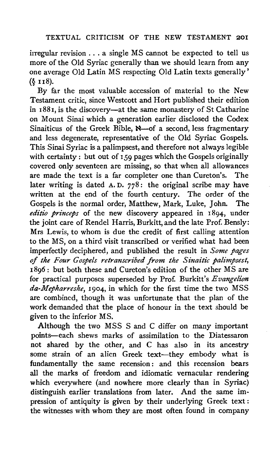irregular revision ... a single MS cannot be expected to tell us more of the Old Syriac generally than we should learn from any one average Old Latin MS respecting Old Latin texts generally'  $(6 118).$ 

By far the most valuable accession of material to the New Testament critic, since Westcott and Hort published their edition in 1881, is the discovery-at the same monastery of St Catharine on Mount Sinai which a generation earlier disclosed the Codex Sinaiticus of the Greek Bible,  $N$ —of a second, less fragmentary and less degenerate, representative of the Old Syriac Gospels. This Sinai Syriac is a palimpsest, and therefore not always legible with certainty: but out of  $\overline{159}$  pages which the Gospels originally covered only seventeen are missing, so that when all allowances are made the text is a far completer one than Cureton's. The later writing is dated A. D.  $778$ : the original scribe may have written at the end of the fourth century. The order of the Gospels is the normal order, Matthew, Mark, Luke, John. The editio princeps of the new discovery appeared in 1894, under the joint care of Rendel Harris, Burkitt, and the late Prof. Bensly: Mrs Lewis, to whom is due the credit of first calling attention to the MS, on a third visit transcribed or verified what had been imperfectly deciphered, and published the result in *Some pages of the Four Gospels retranscribed from the Sinaitic palimpsest,*  1896: but both these and Cureton's edition of the other MS are for practical purposes superseded by Prof. Burkitt's *Evangelion da-Mepharreshe,* 1904, in which for the first time the two MSS are combined, though it was unfortunate that the plan of the work demanded that the place of honour in the text should be given to the inferior MS.

Although the two MSS S and C differ on many important points-each shews marks of assimilation to the Diatessaron not shared by the other, and C has also in its ancestry some strain of an alien Greek text-they embody what is fundamentally the same recension : and this recension bears all the marks of freedom and idiomatic vernacular rendering which everywhere (and nowhere more clearly than in Syriac) distinguish earlier translations from later. And the same impression of antiquity is given by their underlying Greek text : the witnesses with whom they are most often found in company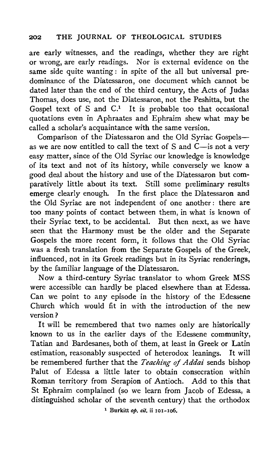are early witnesses, and the readings, whether they are right or wrong, are early readings. Nor is external evidence on the same side quite wanting: in spite of the all but universal predominance of the Diatessaron, one document which cannot be dated later than the end of the third century, the Acts of Judas Thomas, does use, not the Diatessaron, not the Peshitta, but the Gospel text of S and C.<sup>1</sup> It is probable too that occasional quotations even in Aphraates and Ephraim shew what may be called a scholar's acquaintance with the same version.

Comparison of the Diatessaron and the Old Syriac Gospelsas we are now entitled to call the text of  $S$  and  $C$ -is not a very easy matter, since of the Old Syriac our knowledge is knowledge of its text and not of its history, while conversely we know a good deal about the history and use of the Diatessaron but comparatively little about its text. Still some preliminary results emerge clearly enough. In the first place the Diatessaron and the Old Syriac are not independent of one another: there are too many points of contact between them, in what is known of their Syriac text, to be accidental. But then next, as we have seen that the Harmony must be the older and the Separate Gospels the more recent form, it follows that the Old Syriac was a fresh translation from the Separate Gospels of the Greek, influenced, not in its Greek readings but in its Syriac renderings, by the familiar language of the Diatessaron.

Now a third-century Syriac translator to whom Greek MSS were accessible can hardly be placed elsewhere than at Edessa. Can we point to any episode in the history of the Edessene Church which would fit in with the introduction of the new version?

It will be remembered that two names only are historically known to us in the earlier days of the Edessene community, Tatian and Bardesanes, both of them, at least in Greek or Latin estimation, reasonably suspected of heterodox leanings. It will be remembered further that the *Teaching of Addai* sends bishop Palut of Edessa a little later to obtain consecration within Roman territory from Serapion of Antioch. Add to this that St Ephraim complained (so we learn from Jacob of Edessa, a distinguished scholar of the seventh century) that the orthodox

1 Burkitt *op. cit.* ii IOI-Io6.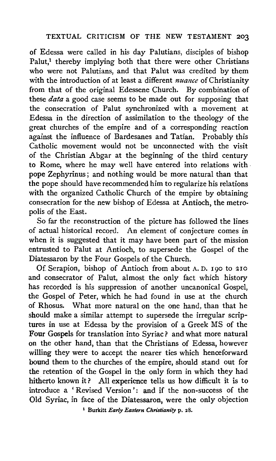of Edessa were called in his day Palutians, disciples of bishop Palut,<sup>1</sup> thereby implying both that there were other Christians who were not Palutians, and that Palut was credited by them with the introduction of at least a different *nuance* of Christianity from that of the original Edessene Church. By combination of these *data* a good case seems to be made out for supposing that the consecration of Palut synchronized with a movement at Edessa in the direction of assimilation to the theology of the great churches of the empire and of a corresponding reaction against the influence of Bardesanes and Tatian. Probably this Catholic movement would not be unconnected with the visit of the Christian Abgar at the beginning of the third century to Rome, where he may well have entered into relations with. pope Zephyrinus; and nothing would be more natural than that the pope should have recommended him to regularize his relations with the organized Catholic Church of the empire by obtaining consecration for the new bishop of Edessa at Antioch, the metropolis of the East.

So far the reconstruction of the picture has followed the lines of actual historical record. An element of conjecture comes in when it is suggested that it may have been part of the mission entrusted to Palut at Antioch, to supersede the Gospel of the Diatessaron by the Four Gospels of the Church.

Of. Serapion, bishop of Antioch from about A. D. 190 to 210 and consecrator of Palut, almost the only fact which history has recorded is his suppression of another uncanonical Gospel, the Gospel of Peter, which he had found in use at the church of Rhosus. What more natural on the one hand, than that he should make a similar attempt to supersede the irregular scriptures in use at Edessa by the provision of a Greek MS of the Four Gospels for translation into Syriac? and what more natural on the other hand, than that the Christians of Edessa, however willing they were to accept the nearer ties which henceforward bound them to the churches of the empire, should stand out for the retention of the Gospel in the only form in which they had hitherto known it? All experience tells us how difficult it is to introduce a ' Revised Version': and if the non-success of the Old Syriac, in face of the Diatessaron, were the only objection

1 Burkitt *Early Eastern Christianity* p. 28.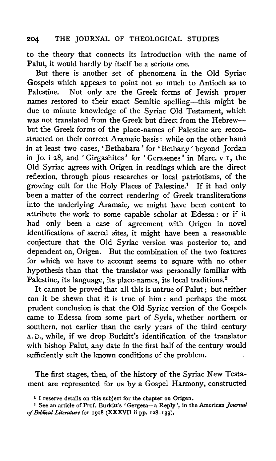to the theory that connects its introduction with the name of Palut, it would hardly by itself be a serious one.

But there is another set of phenomena in the Old Syriac Gospels which appears to point not so much to Antioch as to Palestine. Not only are the Greek forms of Jewish proper names restored to their exact Semitic spelling-this might be due to minute knowledge of the Syriac Old Testament, which was not translated from the Greek but direct from the Hebrewbut the Greek forms of the place-names of Palestine are reconstructed on their correct Aramaic basis : while on the other hand in at least two cases, 'Bethabara' for 'Bethany' beyond Jordan in Jo. i  $28$ , and 'Girgashites' for 'Gerasenes' in Marc. v I, the Old Syriac agrees with Origen in readings which are the direct reflexion, through pious researches or local patriotisms, of the growing cult for the Holy Places of Palestine.1 If it had only been a matter of the correct rendering of Greek transliterations into the underlying Aramaic, we might have been content to attribute the work to some capable scholar at Edessa : or if it had only been a case of agreement with Origen in novel identifications of sacred sites, it might have been. a reasonable conjecture that the Old Syriac version was posterior to, and dependent on, Origen. But the combination of the two features for which we have to account seems to square with no other hypothesis than that the translator was personally familiar with Palestine, its language, its place-names, its local traditions.<sup>2</sup>

It cannot be proved that all this is untrue of Palut; but neither can it be shewn that it is true of him : and perhaps the most prudent conclusion is that the Old Syriac version of the Gospels came to Edessa from some part of Syria, whether northern or southern, not earlier than the early years of the third century A. D., while, if we drop Burkitt's identification of the translator with bishop Palut, any date in the first half of the century would sufficiently suit the known conditions of the problem.

The first stages, then, of the history of the Syriac New Testament are represented for us by a Gospel Harmony, constructed

<sup>&</sup>lt;sup>1</sup> I reserve details on this subject for the chapter on Origen.

<sup>&</sup>lt;sup>2</sup> See an article of Prof. Burkitt's 'Gergesa-a Reply', in the American *Journal of Biblical Literature* for 1908 (XXXVII ii pp. 128-133),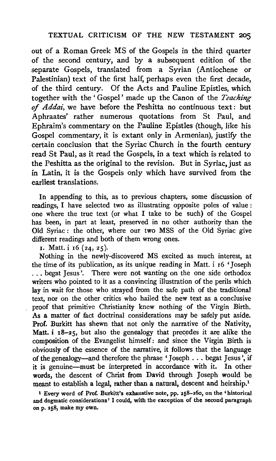### TEXTUAL CRITICISM OF THE NEW TESTAMENT 205

out of a Roman Greek MS of the Gospels in the third quarter of the second century, and by a subsequent edition of the separate Gospels, translated from a Syrian (Antiochene or Palestinian) text of the first half, perhaps even the first decade, of the third century. Of the Acts and Pauline Epistles, which together with the ' Gospel' made up the Canon of the *Teaching*  of *Addai*, we have before the Peshitta no continuous text: but Aphraates' rather numerous quotations from St Paul, and Ephraim's commentary on the Pauline Epistles (though, like his Gospel commentary, it is extant only in Armenian), justify the certain conclusion that the Syriac Church in the fourth century read St Paul, as it read the Gospels, in a text which is related to the Peshitta as the original to the revision. But in Syriac, just as in Latin, it is the Gospels only which have survived from the earliest translations.

In appending to this, as to previous chapters, some discussion of readings, I have selected two as illustrating opposite poles of value : one where the true text (or what I take to be such) of the Gospel has been, in part at least, preserved in no other authority than the Old Syriac : the other, where our two MSS of the Old Syriac give different readings and both of them wrong ones.

1. Matt. i 16 (24, 25).

Nothing in the newly-discovered MS excited as much interest, at the time of its publication, as its unique reading in Matt. i r6 'Joseph ... begat Jesus'. There were not wanting on the one side orthodox writers who pointed to it as a convincing illustration of the perils which lay in wait for those who strayed from the safe path of the traditional text, nor on the other critics who hailed the new text as a conclusive proof that primitive Christianity knew nothing of the Virgin Birth. As a matter of fact doctrinal considerations may be safely put aside. Prof. Burkitt has shewn that not only the narrative of the Nativity, Matt. i 18-25, but also the genealogy that precedes it are alike the composition of the Evangelist himself: and since the Virgin Birth is obviously of the essence of the narrative, it follows that the language of the genealogy-and therefore the phrase 'Joseph . . . begat Jesus', if it is genuine-must be interpreted in accordance with it. In other words, the descent of Christ from David through Joseph would be meant to establish a legal, rather than a natural, descent and heirship.1

t Every word of Pro£ Burkitt's exhaustive note, pp. 258-260, on the 'historical and dogmatic considerations' I could, with the exception of the second paragraph on p. 258, make my own.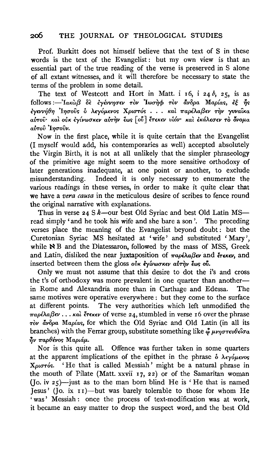Prof. Burkitt does not himself believe that the text of S in these words is the text of the Evangelist: but my own view is that an essential part of the true reading of the verse is preserved in S alone of all extant witnesses, and it will therefore be necessary to state the terms of the problem in some detail.

The text of Westcott and Hort in Matt.  $i$   $i$   $j$  $j$  $k$ ,  $i$   $j$  $j$  $k$ ,  $j$  $k$ ,  $k$  as follows :—'Iaκωβ δε εγέννησεν τον 'Iworg τον άνδρα Maρίας, εξ ης *EY£VvfJ8Tf 'l'Yfuovs* o A£yop.£vos *XptUTos* ••• *Ka2 7raplA.a(:J£V rqv yvvatKa*  $a\dot{v}$ του και ούκ έγίνωσκεν αύτὴν έως [ού] έτεκεν υίόν· και εκάλεσεν το όνομα *aντού 'Ιησούν.* 

Now in the first place, while it is quite certain that the Evangelist (I myself would add, his contemporaries as well) accepted absolutely the Virgin Birth, it is not at all unlikely that the simpler phraseology of the primitive age might seem to the more sensitive orthodoxy of later generations inadequate, at one point or another, to exclude misunderstanding. Indeed it is only necessary to enumerate the various readings in these verses, in order to make it quite clear that we have a *vera causa* in the meticulous desire of scribes to fence round the original narrative with explanations.

Thus in verse 24 S  $k$ -our best Old Syriac and best Old Latin MSread simply 'and he took his wife and she bare a son'. The preceding verses place the meaning of the Evangelist beyond doubt : but the .Curetonian Syriac MS hesitated at 'wife' and substituted 'Mary ', while  $\aleph B$  and the Diatessaron, followed by the mass of MSS, Greek and Latin, disliked the near juxtaposition of  $\pi a \rho \epsilon \lambda a \beta \epsilon \nu$  and  $\epsilon \tau \epsilon \kappa \epsilon \nu$ , and inserted between them the gloss ούκ εγίνωσκεν αύτην έως ού.

Only we must not assume that this desire to dot the i's and cross the t's of orthodoxy was more prevalent in one quarter than anotherin Rome and Alexandria more than in Carthage and Edessa. The same motives were operative everywhere : but they come to the surface at different points. The very authorities which left unmodified the  $\pi a$ ρέλαβεν ... και έτεκεν of verse 24, stumbled in verse 16 over the phrase *TOV av8pa Map{as,* for which the Old Syriac and Old Latin (in all its branches) with the Ferrar group, substitute something like  $\phi$  *μνηστευθείσα*  $\frac{2}{n}$ ν παρθένος Μαριάμ.

Nor is this quite all. Offence was further taken in some quarters at the apparent implications of the epithet in the phrase  $\delta \lambda \epsilon \gamma \delta \mu \epsilon \nu \sigma$ *Xριστός.* 'He that is called Messiah' might be a natural phrase in the mouth of Pilate (Matt. xxvii 17, 22) or of the Samaritan woman (Io. iv  $25$ )-just as to the man born blind He is 'He that is named Jesus' (Jo. ix 11)-but was barely tolerable to those for whom He ' was' Messiah : once the process of text-modification was at work, it became an easy matter to drop the suspect word, and the best Old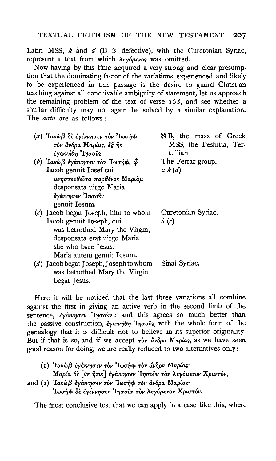Latin MSS, *k* and *d* (D is defective), with the Curetonian Syriac, represent a text from which λεγόμενος was omitted.

Now having by this time acquired a very strong and clear presumption that the dominating factor of the variations experienced and likely to be experienced in this passage is the desire to guard Christian teaching against all conceivable ambiguity of statement, let us approach the remaining problem of the text of verse 16 *b,* and see whether a similar difficulty may not again be solved by a similar explanation. The  $data$  are as follows :-

- ( ) *a* 'I *aKWfJ* ' *a* ~' ' ' ' 'I *'..I.* 0£ *£'f£VV'I}a'£V TOV Wa'TJ't'*  τον άνδρα Μαρίας, εξ ής  $\epsilon$ γεννήθη 'Ιησούς
- (b) 'Iaκωβ εγέννησεν τον 'Ιωσήφ, **ι**δ Iacob genuit Iosef cui  $\mu\nu\eta\sigma\tau\epsilon\nu\theta\epsilon\hat{\imath}\sigma\alpha\pi a\rho\theta\epsilon\hat{\imath}\nu$ os Μαριά $\mu$ desponsata uirgo Maria *£ytvVT}a'£V* 'I *T}a'OVV*  genuit Iesum.
- $(c)$  Jacob begat Joseph, him to whom Iacob genuit Ioseph, cui was betrothed Mary the Virgin, desponsata erat uirgo Maria she who bare Jesus. Maria autem genuit Iesum.
- ~ B, the mass of Greek MSS, the Peshitta, Tertullian
- The Ferrar group. *a* k(d)

Curetonian Syriac.  $b(c)$ 

( $d$ ) Jacob begat Joseph, Joseph to whom was betrothed Mary the Virgin begat Jesus. Sinai Syriac.

Here it will be noticed that the last three variations all combine against the first in giving an active verb in the second limb of the sentence, *εγέννησεν* 'Iησοῦν: and this agrees so much better than the passive construction,  $\partial y \in V$  ' $\partial \eta$ ' Inoves, with the whole form of the genealogy that it is difficult not to believe in its superior originality. But if that is so, and if we accept *τον άνδρα Μαρίαs*, as we have seen good reason for doing, we are really reduced to two alternatives only:-

- (1) 'Iaκώβ έγέννησεν τον 'Ιωσήφ τον άνδρα Μαρίας·  $M$ αρία δε [or ήτις] εγέννησεν 'Ιησούν τον λεγόμενον Χριστόν, and (2) 'Ιακώβ έγέννησεν τον 'Ιωσηφ τον άνδρα Μαρίας·
	- 'Iw~cp *8£ £ylvv7Ja'£V 'ITJa'OVv TOV A£Y6p.£Vov Xpta'T6v.*

The most conclusive test that we can apply in a case like this, where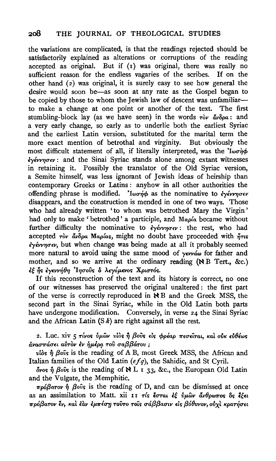the variations are complicated, is that the readings rejected should be satisfactorily explained as alterations or corruptions of the reading accepted as original. But if  $(r)$  was original, there was really no sufficient reason for the endless vagaries of the scribes. If on the other hand  $(2)$  was original, it is surely easy to see how general the desire would soon be-as soon at any rate as the Gospel began to be copied by those to whom the Jewish law of descent was unfamiliarto make a change at one point or another of the text. The first stumbling-block lay (as we have seen) in the words  $\tau \delta \nu$  dv $\delta \rho a$ : and a very early change, so early as to underlie both the earliest Syriac and the earliest Latin version, substituted for the marital term the more exact mention of betrothal and virginity. But obviously the most difficult statement of all, if literally interpreted, was the 'Iworn'd *€ylvvryu£V* : and the Sinai Syriac stands alone among extant witnesses in retaining it. Possibly the translator of the Old Syriac version, a Semite himself, was less ignorant of Jewish ideas of heirship than contemporary Greeks or Latins : anyhow in all other authorities the offending phrase is modified. 'Iωσήφ as the nominative to *εγέννησεν* disappears, and the construction is mended in one of two ways. Those who had already written 'to whom was betrothed Mary the Virgin' had only to make 'betrothed' a participle, and *Map{a* became without further difficulty the nominative to  $\partial y \partial \psi$  is the rest, who had accepted  $\tau$ ov  $\tilde{d}$ vo $\rho$ a Mapías, might no doubt have proceeded with  $\tilde{\eta}$ *rus*  $\epsilon$ γέννησεν, but when change was being made at all it probably seemed more natural to avoid using the same mood of *yevvaw* for father and mother, and so we arrive at the ordinary reading  $(NB)$  Tert., &c.)  $\epsilon \xi$  ής εγεννήθη 'Ιησούς δ λεγόμενος Χριστός.

If this reconstruction of the text and its history is correct, no one of our witnesses has preserved the original unaltered: the first part of the verse is correctly reproduced in  $\aleph B$  and the Greek MSS, the second part in the Sinai Syriac, while in the Old Latin both parts have undergone modification. Conversely, in verse 24 the Sinai Syriac and the African Latin  $(S \, k)$  are right against all the rest.

2. Luc. xiv 5 τίνος *ύμων vios ή βούς είς φρέαρ πεσείται, και ούκ εύθέως*  $d$ νασπάσει αύτον έν ήμέρα του σαββάτου;

vids  $\hat{\eta}$  *Bovs* is the reading of A B, most Greek MSS, the African and Italian families of the Old Latin *(efq),* the Sahidic, and St Cyril.

 $\delta v$ os  $\hat{\eta}$   $\beta$ ovs is the reading of  $\aleph$  L I 33, &c., the European Old Latin and the Vulgate, the Memphitic.

 $\pi \rho \delta \beta$ arov  $\dot{\eta}$   $\beta$ ovs is the reading of D, and can be dismissed at once as an assimilation to Matt. xii II Tis čoral *if bulov dvbpwnos* os etel *'11"p6{3aTov Ev, Kal ld.v lp.'ll"iCTTJ* Towo T"OL~ *uc:£{3{3auLv* £i~ *{36Bwov, o{Jxl* KpaT~U£L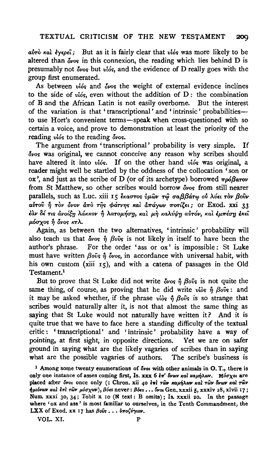*alrro Kal ly£pli;* But as it is fairly clear that vt6~ was more likely to be altered than  $\delta v$ os in this connexion, the reading which lies behind  $D$  is presumably not  $\delta v_{0}$  but vios, and the evidence of D really goes with the group first enumerated.

As between viós and övos the weight of external evidence inclines to the side of viós, even without the addition of  $D$ : the combination of B and the African Latin is not easily overborne. But the interest of the variation is that ' transcriptional' and 'intrinsic' probabilitiesto use Hort's convenient terms-speak when cross-questioned with so certain a voice, and prove to demonstration at least the priority of the reading viós to the reading ovos.

The argument from 'transcriptional' probability is very simple. If  $\delta$ vos was original, we cannot conceive any reason why scribes should have altered it into viós. If on the other hand viós was original, a reader might well be startled by the oddness of the collocation 'son or ox', and just as the scribe of D (or of its archetype) borrowed  $\pi \rho \delta \beta a \tau \sigma \nu$ from St Matthew, so other scribes would borrow oves from still nearer parallels, such as Luc. xiii 15 έκαστος *ύμων τω σαββάτω ού λύει τον βούν* aντού ή τον όνον από της φάτνης και απάγων ποτίζει; or Exod. xxi 33  $\epsilon$ άν δέ τις ανοίξη λάκκον ή λατομήση, και μη καλύψη αυτόν, και εμπέση εκεί  $\mu$ όσχος ή όνος κτλ.

Again, as between the two alternatives, 'intrinsic ' probability will also teach us that  $\delta v \circ \hat{\eta}$   $\beta o \hat{v} s$  is not likely in itself to have been the author's phrase. For the order 'ass or ox' is impossible: St Luke must have written  $\beta$ ovs  $\eta$  oves, in accordance with universal habit, with his own custom (xiii  $r_5$ ), and with a catena of passages in the Old Testament.<sup>1</sup>

But to prove that St Luke did not write  $\phi$ vos  $\dot{\eta}$   $\beta$ ovs is not quite the same thing, of course, as proving that he did write vios  $\hat{\eta}$   $\beta_0\hat{\nu}_s$ : and it may be asked whether, if the phrase vios  $\eta$   $\beta$ ovs is so strange that scribes would naturally alter it, is not that almost the same thing as saying that St Luke would not naturally have written it? And it is quite true that we have to face here a standing difficulty of the textual critic: 'transcriptional' and 'intrinsic' probability have a way of pointing, at first sight, in opposite directions. Yet we are on safer ground in saying what are the likely vagaries of scribes than in saying what are the possible vagaries of authors. The scribe's business is

<sup>1</sup> Among some twenty enumerations of  $\delta\nu\omega$  with other animals in O.T., there is only one instance of asses coming first, Is. xxx 6 kn' δνων και καμήλων. Μόσχοι are placed after όνοι once only (I Chron. xii 40 επί των καμήλων και των όνων και των  $η$ μιόνων καλ έπλ τῶν μόσχων), βόεs never: βόεs . . . δνοι Gen. xxxii 5, xxxiv 28, xlvii 17; Num. xxxi 30, 34; Tobit x 10 (N text: B omits); Is. xxxii 20. In the passage where 'ox and ass' is most familiar to ourselves, in the Tenth Commandment, the LXX of Exod.  $xx$  17 has  $\beta$ ovs . . .  $\hat{v}\pi$ o $\zeta\hat{v}\gamma$ tov.

VOL.XI. P